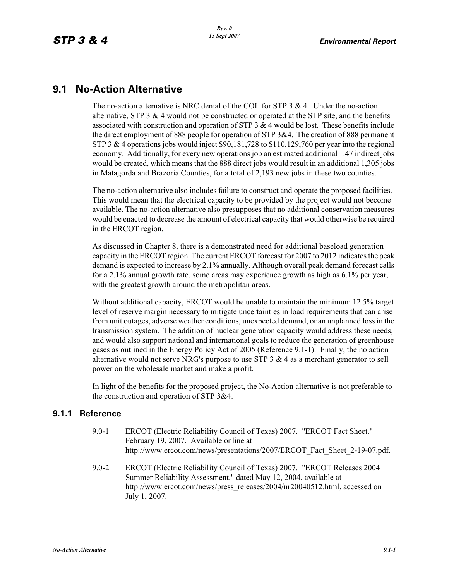## **9.1 No-Action Alternative**

The no-action alternative is NRC denial of the COL for STP  $3 \& 4$ . Under the no-action alternative, STP 3  $&$  4 would not be constructed or operated at the STP site, and the benefits associated with construction and operation of STP  $3 & 4$  would be lost. These benefits include the direct employment of 888 people for operation of STP 3&4. The creation of 888 permanent STP 3  $&$  4 operations jobs would inject \$90,181,728 to \$110,129,760 per year into the regional economy. Additionally, for every new operations job an estimated additional 1.47 indirect jobs would be created, which means that the 888 direct jobs would result in an additional 1,305 jobs in Matagorda and Brazoria Counties, for a total of 2,193 new jobs in these two counties.

The no-action alternative also includes failure to construct and operate the proposed facilities. This would mean that the electrical capacity to be provided by the project would not become available. The no-action alternative also presupposes that no additional conservation measures would be enacted to decrease the amount of electrical capacity that would otherwise be required in the ERCOT region.

As discussed in Chapter 8, there is a demonstrated need for additional baseload generation capacity in the ERCOT region. The current ERCOT forecast for 2007 to 2012 indicates the peak demand is expected to increase by 2.1% annually. Although overall peak demand forecast calls for a 2.1% annual growth rate, some areas may experience growth as high as 6.1% per year, with the greatest growth around the metropolitan areas.

Without additional capacity, ERCOT would be unable to maintain the minimum 12.5% target level of reserve margin necessary to mitigate uncertainties in load requirements that can arise from unit outages, adverse weather conditions, unexpected demand, or an unplanned loss in the transmission system. The addition of nuclear generation capacity would address these needs, and would also support national and international goals to reduce the generation of greenhouse gases as outlined in the Energy Policy Act of 2005 (Reference 9.1-1). Finally, the no action alternative would not serve NRG's purpose to use STP  $3 \& 4$  as a merchant generator to sell power on the wholesale market and make a profit.

In light of the benefits for the proposed project, the No-Action alternative is not preferable to the construction and operation of STP 3&4.

## **9.1.1 Reference**

- 9.0-1 ERCOT (Electric Reliability Council of Texas) 2007. "ERCOT Fact Sheet." February 19, 2007. Available online at http://www.ercot.com/news/presentations/2007/ERCOT\_Fact\_Sheet\_2-19-07.pdf.
- 9.0-2 ERCOT (Electric Reliability Council of Texas) 2007. "ERCOT Releases 2004 Summer Reliability Assessment," dated May 12, 2004, available at http://www.ercot.com/news/press\_releases/2004/nr20040512.html, accessed on July 1, 2007.